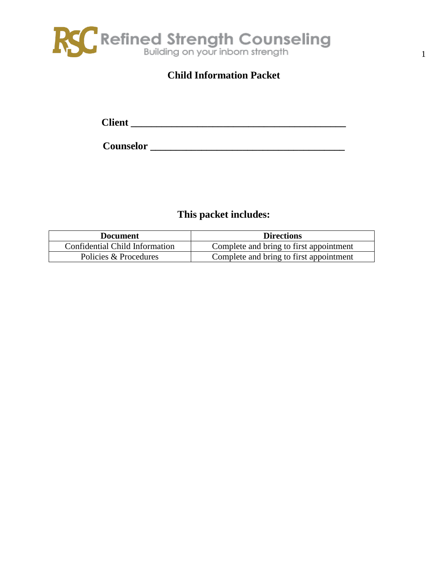

**Child Information Packet**

**Client \_\_\_\_\_\_\_\_\_\_\_\_\_\_\_\_\_\_\_\_\_\_\_\_\_\_\_\_\_\_\_\_\_\_\_\_\_\_\_\_\_\_**

**Counselor \_\_\_\_\_\_\_\_\_\_\_\_\_\_\_\_\_\_\_\_\_\_\_\_\_\_\_\_\_\_\_\_\_\_\_\_\_\_**

## **This packet includes:**

| <b>Document</b>                | <b>Directions</b>                       |
|--------------------------------|-----------------------------------------|
| Confidential Child Information | Complete and bring to first appointment |
| Policies & Procedures          | Complete and bring to first appointment |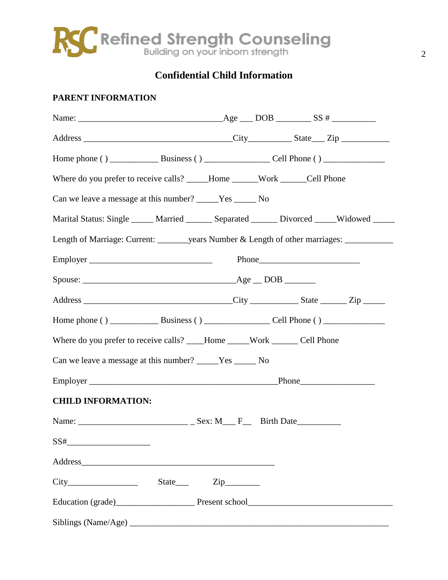

**Confidential Child Information**

## **PARENT INFORMATION**

| Where do you prefer to receive calls? _____Home ______Work ______Cell Phone                 |  |  |
|---------------------------------------------------------------------------------------------|--|--|
| Can we leave a message at this number? _____Yes ______No                                    |  |  |
| Marital Status: Single _____ Married ______ Separated ______ Divorced _____Widowed _____    |  |  |
| Length of Marriage: Current: _______ years Number & Length of other marriages: ____________ |  |  |
|                                                                                             |  |  |
|                                                                                             |  |  |
|                                                                                             |  |  |
|                                                                                             |  |  |
| Where do you prefer to receive calls? ____Home _____Work _______ Cell Phone                 |  |  |
| Can we leave a message at this number? _____Yes ______ No                                   |  |  |
|                                                                                             |  |  |
| <b>CHILD INFORMATION:</b>                                                                   |  |  |
|                                                                                             |  |  |
|                                                                                             |  |  |
|                                                                                             |  |  |
|                                                                                             |  |  |
|                                                                                             |  |  |
|                                                                                             |  |  |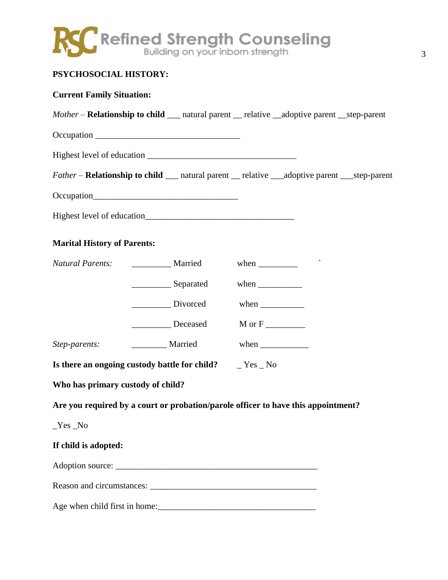

### **PSYCHOSOCIAL HISTORY:**

| <b>Current Family Situation:</b>   |                                                                                                               |                                                                          |  |
|------------------------------------|---------------------------------------------------------------------------------------------------------------|--------------------------------------------------------------------------|--|
|                                    | Mother - Relationship to child __ natural parent _ relative _adoptive parent _step-parent                     |                                                                          |  |
|                                    |                                                                                                               |                                                                          |  |
|                                    |                                                                                                               |                                                                          |  |
|                                    | <i>Father</i> – <b>Relationship to child</b> ___ natural parent __ relative ___adoptive parent ___step-parent |                                                                          |  |
|                                    |                                                                                                               |                                                                          |  |
|                                    |                                                                                                               |                                                                          |  |
| <b>Marital History of Parents:</b> |                                                                                                               |                                                                          |  |
|                                    |                                                                                                               | when $\qquad$                                                            |  |
|                                    | Separated                                                                                                     | when $\frac{1}{\sqrt{1-\frac{1}{2}}\cdot\frac{1}{2}}$                    |  |
|                                    | Divorced                                                                                                      | when $\frac{1}{\sqrt{1-\frac{1}{2}}\cdot\frac{1}{\sqrt{1-\frac{1}{2}}}}$ |  |
|                                    | Deceased                                                                                                      |                                                                          |  |
| Step-parents:                      | Married                                                                                                       | when $\frac{\ }{\ }$                                                     |  |
|                                    | Is there an ongoing custody battle for child? $\Gamma$ $\Gamma$ $\gamma$ $\gamma$ $\gamma$ $\gamma$ $\gamma$  |                                                                          |  |
| Who has primary custody of child?  |                                                                                                               |                                                                          |  |
|                                    | Are you required by a court or probation/parole officer to have this appointment?                             |                                                                          |  |
| $Yes$ No                           |                                                                                                               |                                                                          |  |
| If child is adopted:               |                                                                                                               |                                                                          |  |
|                                    |                                                                                                               |                                                                          |  |
|                                    |                                                                                                               |                                                                          |  |
|                                    |                                                                                                               |                                                                          |  |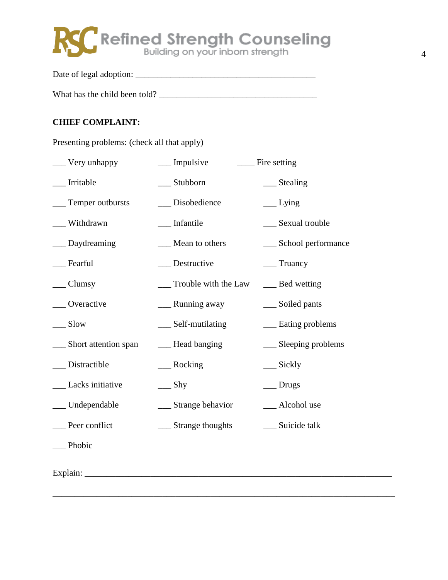

Date of legal adoption: \_\_\_\_\_\_\_\_\_\_\_\_\_\_\_\_\_\_\_\_\_\_\_\_\_\_\_\_\_\_\_\_\_\_\_\_\_\_\_\_\_

What has the child been told? \_\_\_\_\_\_\_\_\_\_\_\_\_\_\_\_\_\_\_\_\_\_\_\_\_\_\_\_\_\_\_\_\_\_\_\_

## **CHIEF COMPLAINT:**

Presenting problems: (check all that apply)

| Very unhappy         | <b>Impulsive</b>                | Fire setting          |
|----------------------|---------------------------------|-----------------------|
| Irritable            | Stubborn                        | $\equiv$ Stealing     |
| Temper outbursts     | Disobedience                    | $\equiv$ Lying        |
| Withdrawn            | Infantile                       | __ Sexual trouble     |
| Daydreaming          | Mean to others                  | __ School performance |
| Fearful              | Destructive                     | $\equiv$ Truancy      |
| Clumsy               | Trouble with the Law            | __ Bed wetting        |
| Overactive           | _ Running away                  | __ Soiled pants       |
| $\sqrt{S}$ low       | _Self-mutilating                | __ Eating problems    |
| Short attention span | _Head banging                   | Sleeping problems     |
| Distractible         | $\equiv$ Rocking                | $\equiv$ Sickly       |
| Lacks initiative     | $\mathop{\rm \underline{S}}$ hy | $\_$ Drugs            |
| Undependable         | _ Strange behavior              | _Alcohol use          |
| Peer conflict        | __ Strange thoughts             | __ Suicide talk       |
| Phobic               |                                 |                       |
|                      |                                 |                       |

\_\_\_\_\_\_\_\_\_\_\_\_\_\_\_\_\_\_\_\_\_\_\_\_\_\_\_\_\_\_\_\_\_\_\_\_\_\_\_\_\_\_\_\_\_\_\_\_\_\_\_\_\_\_\_\_\_\_\_\_\_\_\_\_\_\_\_\_\_\_\_\_\_\_\_\_\_\_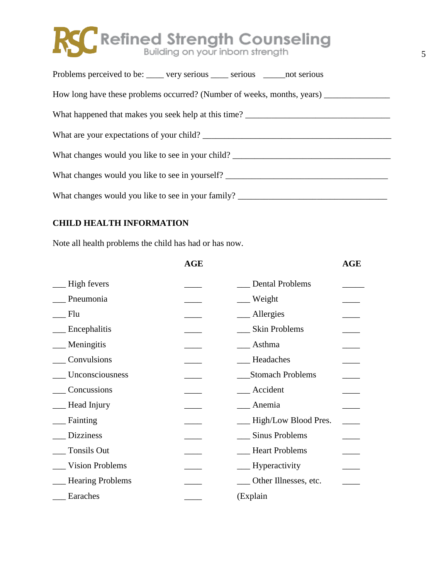| Problems perceived to be: _____ very serious _____ serious _____ not serious      |
|-----------------------------------------------------------------------------------|
| How long have these problems occurred? (Number of weeks, months, years)           |
|                                                                                   |
|                                                                                   |
| What changes would you like to see in your child?                                 |
| What changes would you like to see in yourself? _________________________________ |
| What changes would you like to see in your family?                                |

## **CHILD HEALTH INFORMATION**

Note all health problems the child has had or has now.

|                         | <b>AGE</b> |                         | <b>AGE</b> |
|-------------------------|------------|-------------------------|------------|
| High fevers             |            | <b>Dental Problems</b>  |            |
| Pneumonia               |            | $\mathbf{W}$ Weight     |            |
| Flu                     |            | Allergies               |            |
| Encephalitis            |            | Skin Problems           |            |
| Meningitis              |            | Asthma                  |            |
| Convulsions             |            | Headaches               |            |
| Unconsciousness         |            | <b>Stomach Problems</b> |            |
| Concussions             |            | Accident                |            |
| Head Injury             |            | Anemia                  |            |
| Fainting                |            | _High/Low Blood Pres.   |            |
| <b>Dizziness</b>        |            | <b>Sinus Problems</b>   |            |
| <b>Tonsils Out</b>      |            | <b>Heart Problems</b>   |            |
| <b>Vision Problems</b>  |            | _Hyperactivity          |            |
| <b>Hearing Problems</b> |            | Other Illnesses, etc.   |            |
| Earaches                |            | (Explain                |            |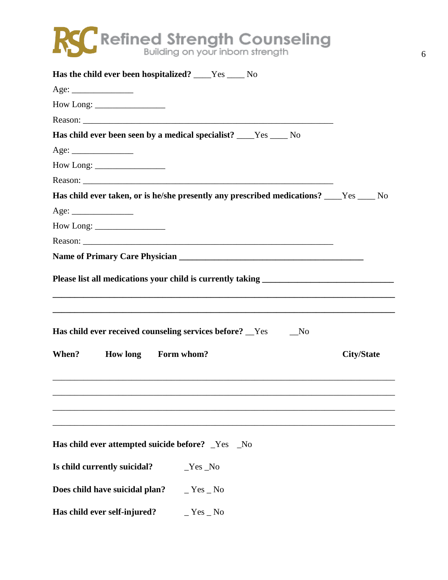

| Has the child ever been hospitalized? ____Yes ____ No                                    |                   |
|------------------------------------------------------------------------------------------|-------------------|
| Age:                                                                                     |                   |
| $How Long: ____________$                                                                 |                   |
|                                                                                          |                   |
| Has child ever been seen by a medical specialist? ____Yes ____ No                        |                   |
| Age:                                                                                     |                   |
|                                                                                          |                   |
|                                                                                          |                   |
| Has child ever taken, or is he/she presently any prescribed medications? ____Yes ____ No |                   |
| Age:                                                                                     |                   |
|                                                                                          |                   |
|                                                                                          |                   |
|                                                                                          |                   |
| Has child ever received counseling services before? These Yes<br>$\sim$ No               |                   |
|                                                                                          |                   |
| When?<br>How long Form whom?                                                             | <b>City/State</b> |
|                                                                                          |                   |
|                                                                                          |                   |
|                                                                                          |                   |
| Has child ever attempted suicide before? _Yes _No                                        |                   |
| Is child currently suicidal?<br>$Yes$ No                                                 |                   |
| Does child have suicidal plan?<br>$Yes$ No                                               |                   |
| Has child ever self-injured?<br>$Yes$ _ No                                               |                   |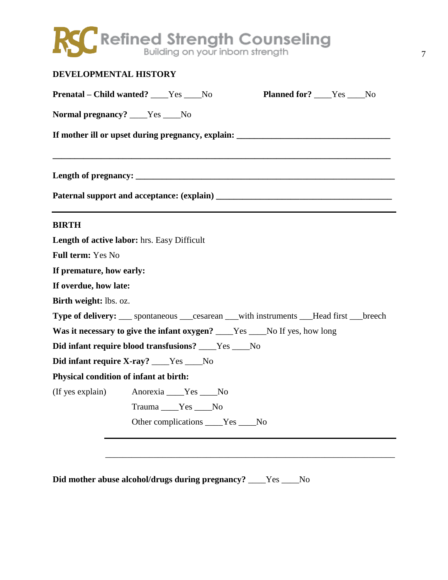| DEVELOPMENTAL HISTORY                  |                                                                                           |                             |
|----------------------------------------|-------------------------------------------------------------------------------------------|-----------------------------|
|                                        | <b>Prenatal – Child wanted?</b> ____Yes ____No                                            | Planned for? ____Yes ____No |
| Normal pregnancy? ____Yes ____No       |                                                                                           |                             |
|                                        |                                                                                           |                             |
|                                        | ,我们也不能在这里的时候,我们也不能在这里的时候,我们也不能会在这里的时候,我们也不能会在这里的时候,我们也不能会在这里的时候,我们也不能会在这里的时候,我们也不         |                             |
|                                        |                                                                                           |                             |
| <b>BIRTH</b>                           |                                                                                           |                             |
|                                        | <b>Length of active labor:</b> hrs. Easy Difficult                                        |                             |
| Full term: Yes No                      |                                                                                           |                             |
| If premature, how early:               |                                                                                           |                             |
| If overdue, how late:                  |                                                                                           |                             |
| Birth weight: lbs. oz.                 |                                                                                           |                             |
|                                        | Type of delivery: ___ spontaneous ___cesarean ___with instruments ___Head first ___breech |                             |
|                                        | Was it necessary to give the infant oxygen? ____Yes ___No If yes, how long                |                             |
|                                        | Did infant require blood transfusions? ____Yes ___No                                      |                             |
|                                        | Did infant require X-ray? ____Yes ____No                                                  |                             |
| Physical condition of infant at birth: |                                                                                           |                             |
|                                        | (If yes explain) Anorexia Ves No                                                          |                             |
|                                        | Trauma ____Yes ____No                                                                     |                             |
|                                        | Other complications ____Yes ____No                                                        |                             |
|                                        |                                                                                           |                             |

**Did mother abuse alcohol/drugs during pregnancy?** \_\_\_\_Yes \_\_\_\_No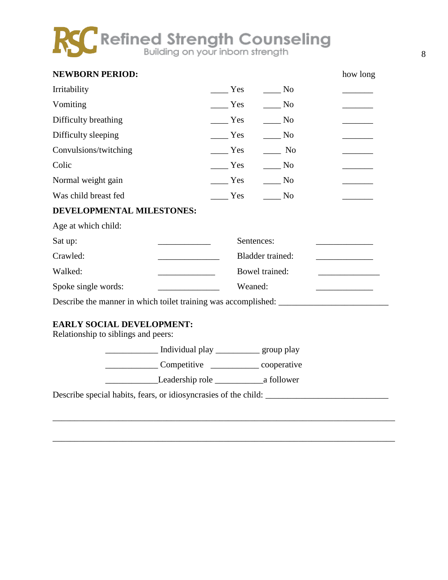| <b>NEWBORN PERIOD:</b>                                                  |                                                                                                                       |                                                                 | how long                 |
|-------------------------------------------------------------------------|-----------------------------------------------------------------------------------------------------------------------|-----------------------------------------------------------------|--------------------------|
| Irritability                                                            |                                                                                                                       | Yes<br>$\_\_$ No                                                |                          |
| Vomiting                                                                |                                                                                                                       | $\frac{1}{\sqrt{1-\frac{1}{2}}}$ Yes<br>$\rule{1em}{0.15mm}$ No |                          |
| Difficulty breathing                                                    | Yes                                                                                                                   | No.                                                             |                          |
| Difficulty sleeping                                                     |                                                                                                                       | $\frac{1}{1}$ Yes<br>$\rule{1em}{0.15mm}$ No                    |                          |
| Convulsions/twitching                                                   |                                                                                                                       | Yes<br>$\frac{1}{\sqrt{1-\frac{1}{2}}}$ No                      |                          |
| Colic                                                                   |                                                                                                                       | Yes<br>$\_\_$ No                                                |                          |
| Normal weight gain                                                      |                                                                                                                       | $\frac{1}{1}$ Yes<br>$\frac{1}{\sqrt{1-\frac{1}{2}}}$ No        | <b>Contract Contract</b> |
| Was child breast fed                                                    | Yes                                                                                                                   | $\rule{1em}{0.15mm}$ No                                         |                          |
| DEVELOPMENTAL MILESTONES:                                               |                                                                                                                       |                                                                 |                          |
| Age at which child:                                                     |                                                                                                                       |                                                                 |                          |
| Sat up:                                                                 | <u> Alexandria de Alexandria de Alexandria de Alexandria de Alexandria de Alexandria de Alexandria de Alexandria </u> | Sentences:                                                      |                          |
| Crawled:                                                                |                                                                                                                       | Bladder trained:                                                |                          |
| Walked:                                                                 |                                                                                                                       | Bowel trained:                                                  |                          |
| Spoke single words:                                                     |                                                                                                                       | Weaned:                                                         |                          |
|                                                                         |                                                                                                                       |                                                                 |                          |
| <b>EARLY SOCIAL DEVELOPMENT:</b><br>Relationship to siblings and peers: |                                                                                                                       |                                                                 |                          |
|                                                                         | ____________________ Individual play ______________ group play                                                        |                                                                 |                          |
|                                                                         |                                                                                                                       |                                                                 |                          |
|                                                                         |                                                                                                                       |                                                                 |                          |

\_\_\_\_\_\_\_\_\_\_\_\_\_\_\_\_\_\_\_\_\_\_\_\_\_\_\_\_\_\_\_\_\_\_\_\_\_\_\_\_\_\_\_\_\_\_\_\_\_\_\_\_\_\_\_\_\_\_\_\_\_\_\_\_\_\_\_\_\_\_\_\_\_\_\_\_\_\_

\_\_\_\_\_\_\_\_\_\_\_\_\_\_\_\_\_\_\_\_\_\_\_\_\_\_\_\_\_\_\_\_\_\_\_\_\_\_\_\_\_\_\_\_\_\_\_\_\_\_\_\_\_\_\_\_\_\_\_\_\_\_\_\_\_\_\_\_\_\_\_\_\_\_\_\_\_\_

Describe special habits, fears, or idiosyncrasies of the child: \_\_\_\_\_\_\_\_\_\_\_\_\_\_\_\_\_\_\_\_\_\_\_\_\_\_\_\_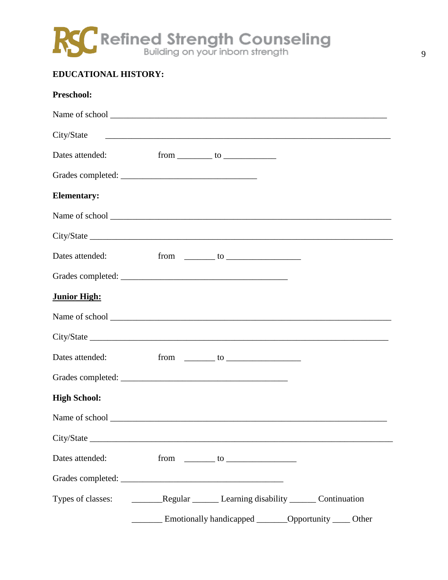

## **EDUCATIONAL HISTORY:**

| Preschool:          |                                                                                         |                                                                                                                        |
|---------------------|-----------------------------------------------------------------------------------------|------------------------------------------------------------------------------------------------------------------------|
|                     |                                                                                         |                                                                                                                        |
| City/State          |                                                                                         | <u> 1988 - Johann Stoff, deutscher Stoffen und der Stoffen und der Stoffen und der Stoffen und der Stoffen und der</u> |
| Dates attended:     | $from \_\_\_to to \_\_\_\_$                                                             |                                                                                                                        |
|                     |                                                                                         |                                                                                                                        |
| <b>Elementary:</b>  |                                                                                         |                                                                                                                        |
|                     |                                                                                         |                                                                                                                        |
|                     |                                                                                         | City/State                                                                                                             |
| Dates attended:     | $from \_\_\_to$ to $\_\_\_\_\_\_\_\_\_\_\_\_\_\_\_\_\_\_\_\_$                           |                                                                                                                        |
|                     |                                                                                         |                                                                                                                        |
| <b>Junior High:</b> |                                                                                         |                                                                                                                        |
|                     |                                                                                         |                                                                                                                        |
|                     |                                                                                         |                                                                                                                        |
| Dates attended:     | $from \_\_\_to$ to $\_\_\_\_\_\_$                                                       |                                                                                                                        |
|                     |                                                                                         |                                                                                                                        |
| <b>High School:</b> |                                                                                         |                                                                                                                        |
|                     |                                                                                         |                                                                                                                        |
|                     |                                                                                         |                                                                                                                        |
| Dates attended:     | $from \_\_\_to\$                                                                        |                                                                                                                        |
|                     |                                                                                         |                                                                                                                        |
|                     | Types of classes: ___________Regular _________ Learning disability _______ Continuation |                                                                                                                        |
|                     | ________ Emotionally handicapped ________Opportunity _____ Other                        |                                                                                                                        |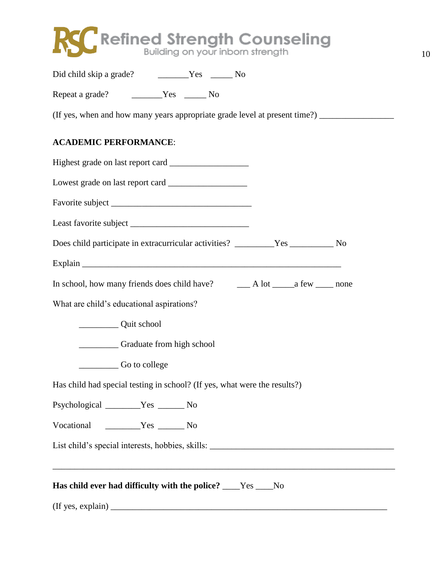| (If yes, when and how many years appropriate grade level at present time?)        |
|-----------------------------------------------------------------------------------|
| <b>ACADEMIC PERFORMANCE:</b>                                                      |
|                                                                                   |
|                                                                                   |
|                                                                                   |
|                                                                                   |
| Does child participate in extracurricular activities? ________Yes _____________No |
|                                                                                   |
|                                                                                   |
| What are child's educational aspirations?                                         |
| Quit school                                                                       |
| Craduate from high school                                                         |
| Go to college                                                                     |
| Has child had special testing in school? (If yes, what were the results?)         |
| Psychological ________Yes _______ No                                              |
| Vocational __________Yes ________ No                                              |
|                                                                                   |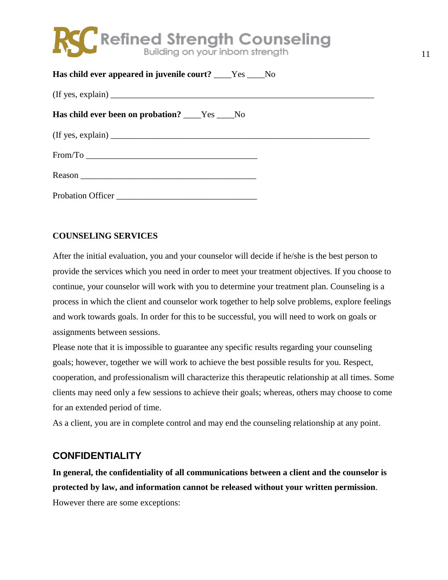

| Has child ever appeared in juvenile court? The No       |  |
|---------------------------------------------------------|--|
|                                                         |  |
| <b>Has child ever been on probation?</b> ____Yes ____No |  |
| (If yes, explain)                                       |  |
|                                                         |  |
|                                                         |  |
|                                                         |  |

### **COUNSELING SERVICES**

After the initial evaluation, you and your counselor will decide if he/she is the best person to provide the services which you need in order to meet your treatment objectives. If you choose to continue, your counselor will work with you to determine your treatment plan. Counseling is a process in which the client and counselor work together to help solve problems, explore feelings and work towards goals. In order for this to be successful, you will need to work on goals or assignments between sessions.

Please note that it is impossible to guarantee any specific results regarding your counseling goals; however, together we will work to achieve the best possible results for you. Respect, cooperation, and professionalism will characterize this therapeutic relationship at all times. Some clients may need only a few sessions to achieve their goals; whereas, others may choose to come for an extended period of time.

As a client, you are in complete control and may end the counseling relationship at any point.

## **CONFIDENTIALITY**

**In general, the confidentiality of all communications between a client and the counselor is protected by law, and information cannot be released without your written permission**. However there are some exceptions: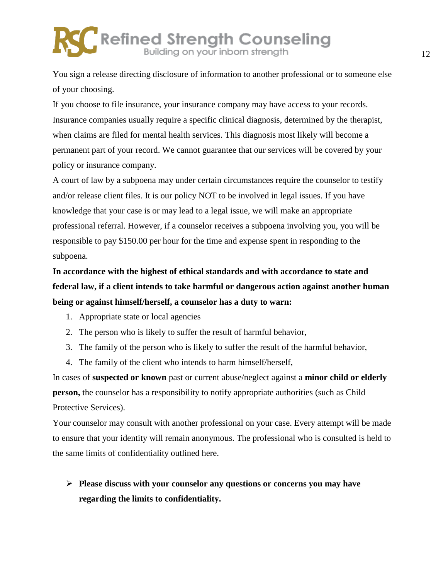You sign a release directing disclosure of information to another professional or to someone else of your choosing.

If you choose to file insurance, your insurance company may have access to your records. Insurance companies usually require a specific clinical diagnosis, determined by the therapist, when claims are filed for mental health services. This diagnosis most likely will become a permanent part of your record. We cannot guarantee that our services will be covered by your policy or insurance company.

A court of law by a subpoena may under certain circumstances require the counselor to testify and/or release client files. It is our policy NOT to be involved in legal issues. If you have knowledge that your case is or may lead to a legal issue, we will make an appropriate professional referral. However, if a counselor receives a subpoena involving you, you will be responsible to pay \$150.00 per hour for the time and expense spent in responding to the subpoena.

**In accordance with the highest of ethical standards and with accordance to state and federal law, if a client intends to take harmful or dangerous action against another human being or against himself/herself, a counselor has a duty to warn:**

- 1. Appropriate state or local agencies
- 2. The person who is likely to suffer the result of harmful behavior,
- 3. The family of the person who is likely to suffer the result of the harmful behavior,
- 4. The family of the client who intends to harm himself/herself,

In cases of **suspected or known** past or current abuse/neglect against a **minor child or elderly person,** the counselor has a responsibility to notify appropriate authorities (such as Child Protective Services).

Your counselor may consult with another professional on your case. Every attempt will be made to ensure that your identity will remain anonymous. The professional who is consulted is held to the same limits of confidentiality outlined here.

# **Please discuss with your counselor any questions or concerns you may have regarding the limits to confidentiality.**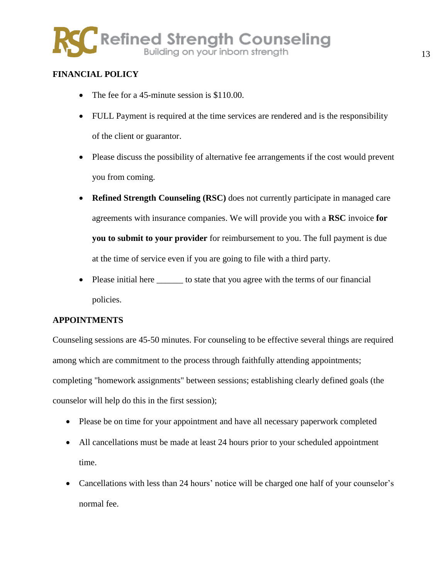

### **FINANCIAL POLICY**

- The fee for a 45-minute session is \$110.00.
- FULL Payment is required at the time services are rendered and is the responsibility of the client or guarantor.
- Please discuss the possibility of alternative fee arrangements if the cost would prevent you from coming.
- **Refined Strength Counseling (RSC)** does not currently participate in managed care agreements with insurance companies. We will provide you with a **RSC** invoice **for you to submit to your provider** for reimbursement to you. The full payment is due at the time of service even if you are going to file with a third party.
- Please initial here to state that you agree with the terms of our financial policies.

### **APPOINTMENTS**

Counseling sessions are 45-50 minutes. For counseling to be effective several things are required among which are commitment to the process through faithfully attending appointments; completing "homework assignments" between sessions; establishing clearly defined goals (the counselor will help do this in the first session);

- Please be on time for your appointment and have all necessary paperwork completed
- All cancellations must be made at least 24 hours prior to your scheduled appointment time.
- Cancellations with less than 24 hours' notice will be charged one half of your counselor's normal fee.